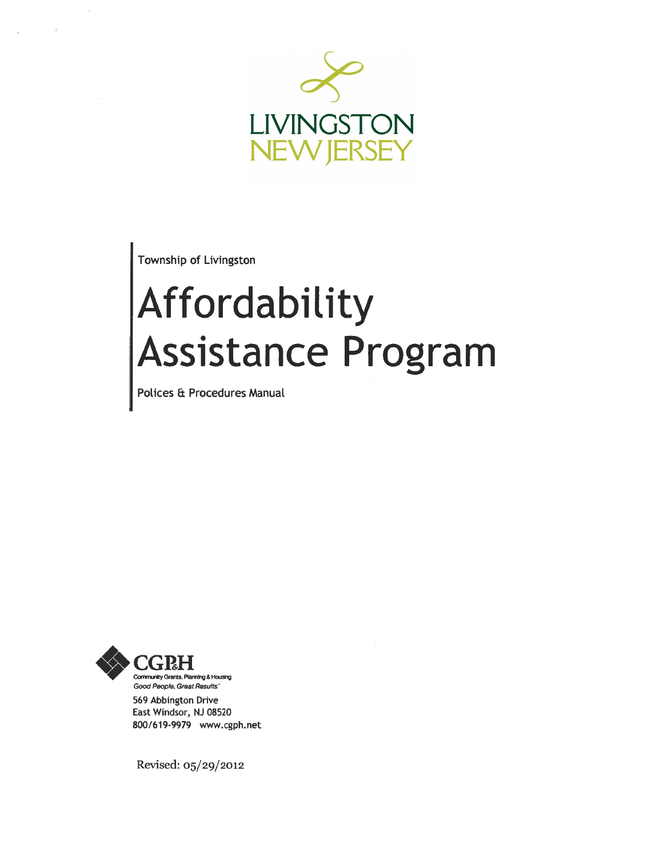

Township of Livingston

## Affordability Assistance Program

Polices & Procedures Manual



569 Abbington Drive East Windsor, NJ 08520 800/619-9979 www.cgph.net

Revised: 05/29/2012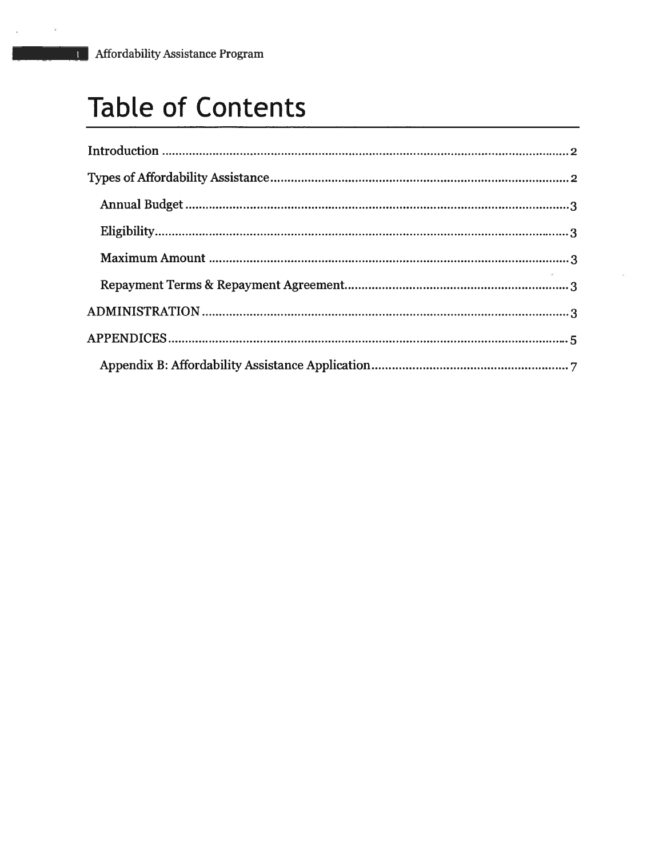## Table of Contents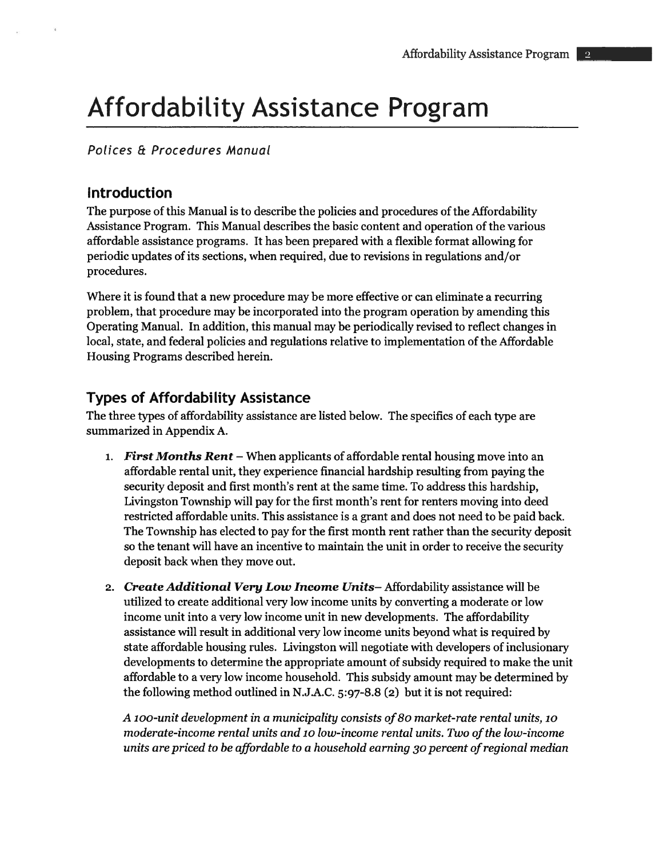#### Polices & Procedures Manual

#### Introduction

The purpose of this Manual is to describe the policies and procedures of the Affordability Assistance Program. This Manual describes the basic content and operation of the various affordable assistance programs. It has been prepared with <sup>a</sup> flexible format allowing for periodic updates of its sections, when required, due to revisions in regulations and/or procedures.

Where it is found that <sup>a</sup> new procedure may be more effective or can eliminate <sup>a</sup> recurring problem, that procedure maybe incorporated into the program operation by amending this Operating Manual. In addition, this manual may be periodically revised to reflect changes in local, state, and federal policies and regulations relative to implementation of the Affordable Housing Programs described herein.

#### Types of Affordability Assistance

The three types of affordability assistance are listed below. The specifics of each type are summarized in Appendix A.

- 1. First Months Rent When applicants of affordable rental housing move into an affordable rental unit, they experience financial hardship resulting from paying the security deposit and first month's rent at the same time. To address this hardship, Livingston Township will pay for the first month's rent for renters moving into deed restricted affordable units. This assistance is <sup>a</sup> gran<sup>t</sup> and does not need to be paid back. The Township has elected to pay for the first month rent rather than the security deposit so the tenant will have an incentive to maintain the unit in order to receive the security deposit back when they move out.
- 2. Create Additional Very Low Income Units-Affordability assistance will be utilized to create additional very low income units by converting <sup>a</sup> moderate or low income unit into <sup>a</sup> very low income unit in new developments. The affordability assistance will result in additional very low income units beyond what is required by state affordable housing rules. Livingston will negotiate with developers of inclusionary developments to determine the appropriate amount of subsidy required to make the unit affordable to <sup>a</sup> very low income household. This subsidy amount may be determined by the following method outlined in N.J.A.C. 5:97-8.8 (2) but it is not required:

A 100-unit development in a municipality consists of 80 market-rate rental units, 10 moderate-income rental units and 10 low-income rental units. Two of the low-income units are priced to be affordable to <sup>a</sup> household earning <sup>30</sup> percen<sup>t</sup> ofregional median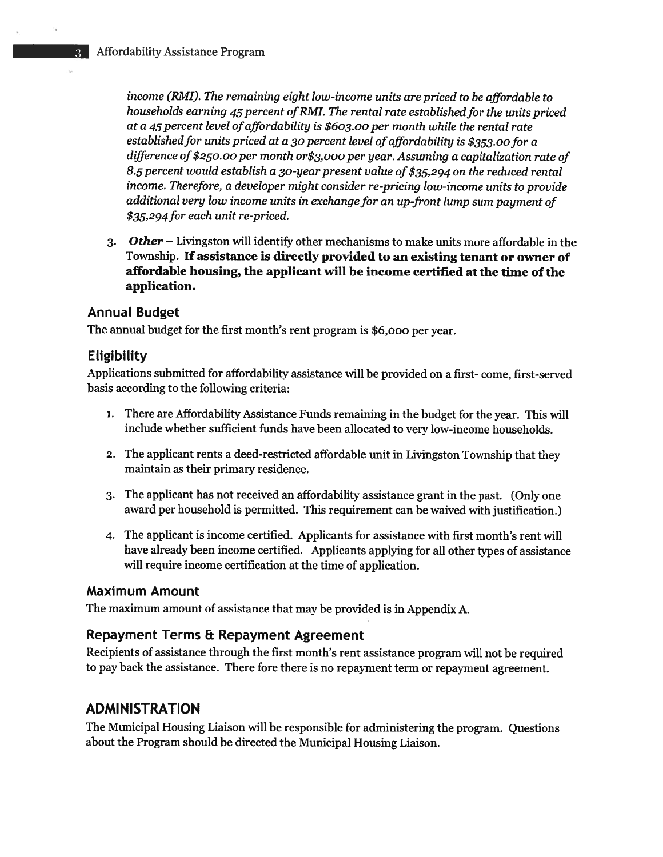income (RMI). The remaining eight low-income units are priced to be affordable to households earning 45 percent of RMI. The rental rate established for the units priced at a 45 percent level of affordability is \$603.00 per month while the rental rate established for units priced at a 30 percent level of affordability is \$353.00 for a difference of \$250.00 per month or\$3,000 per year. Assuming <sup>a</sup> capitalization rate of 8.5 percen<sup>t</sup> would establish <sup>a</sup> 30-year presen<sup>t</sup> value of \$35,294 on the reduced rental income. Therefore, <sup>a</sup> developer might consider re-pricing low-income units to provide additional very low income units in exchange for an up-front lump sum paymen<sup>t</sup> of \$35,294for each unit re-priced.

3. Other — Livingston will identify other mechanisms to make units more affordable in the Township. If assistance is directly provided to an existing tenant or owner of affordable housing, the applicant will be income certified at the time of the application.

#### Annual Budget

The annual budget for the first month's rent program is \$6,000 per year.

#### **Eligibility**

Applications submitted for affordability assistance will be provided on <sup>a</sup> first- come, first-served basis according to the following criteria:

- 1. There are Affordability Assistance Funds remaining in the budget for the year. This will include whether sufficient funds have been allocated to very low-income households.
- 2. The applicant rents <sup>a</sup> deed-restricted affordable unit in Livingston Township that they maintain as their primary residence.
- 3. The applicant has not received an affordability assistance gran<sup>t</sup> in the past. (Only one award per household is permitted. This requirement can be waived with justification.)
- 4. The applicant is income certified. Applicants for assistance with first month's rent will have already been income certified. Applicants applying for all other types of assistance will require income certification at the time of application.

#### Maximum Amount

The maximum amount of assistance that may be provided is in Appendix A.

#### Repayment Terms & Repayment Agreement

Recipients of assistance through the first month's rent assistance program will not be required to pay back the assistance. There fore there is no repaymen<sup>t</sup> term or repaymen<sup>t</sup> agreement.

#### ADMINISTRATION

The Municipal Housing Liaison will be responsible for administering the program. Questions about the Program should be directed the Municipal Housing Liaison.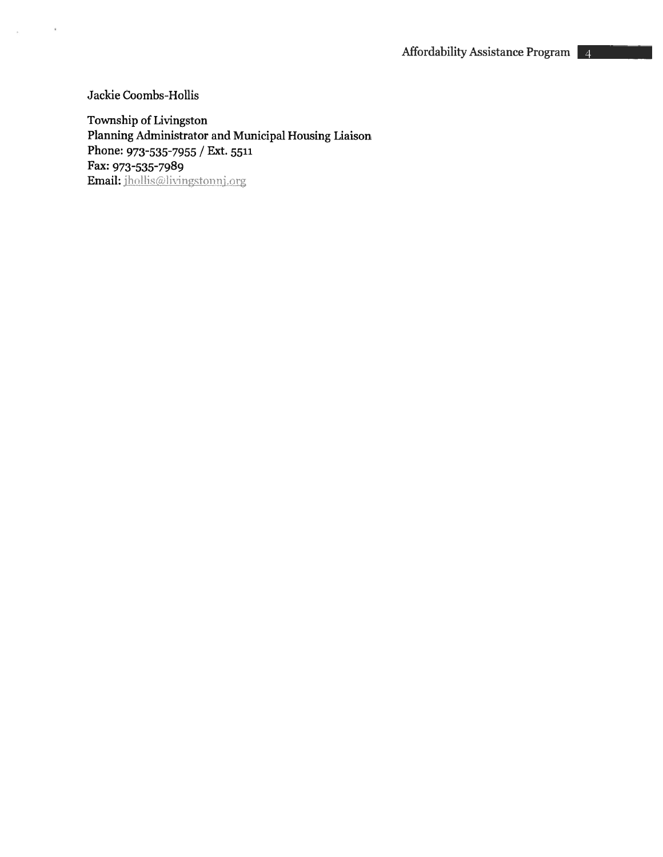Jackie Coombs-Hollis

 $\left\langle \mathbf{t}\right\rangle$ 

 $\mathcal{R}^{\mathcal{C}}$ 

Township of Livingston Planning Administrator and Municipal Housing Liaison Phone: 973-535-7955 / Ext. <sup>5511</sup> Fax: 973-535-7989 Email: jhollis@livingstonnj.org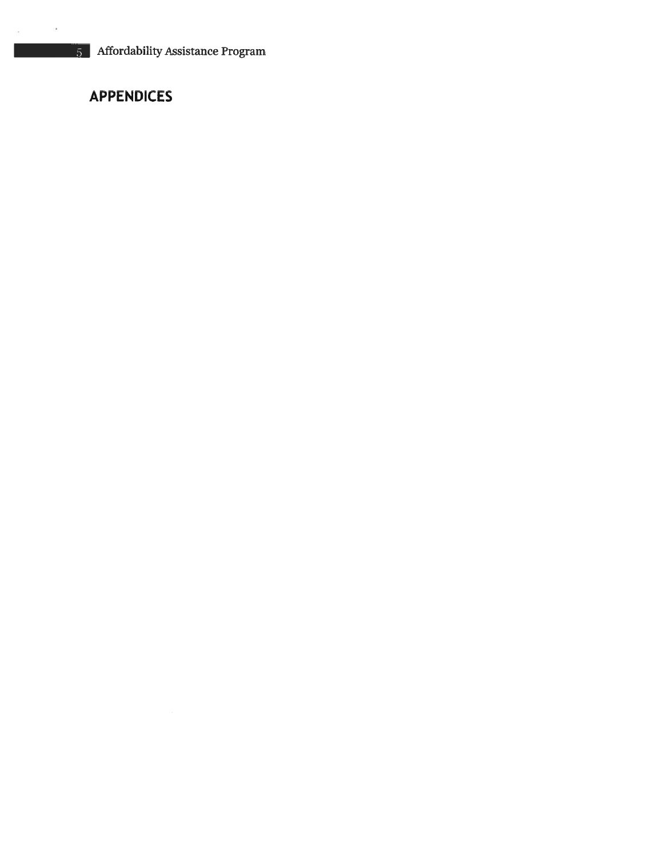#### APPENDICES

 $\sim 100$ 

in.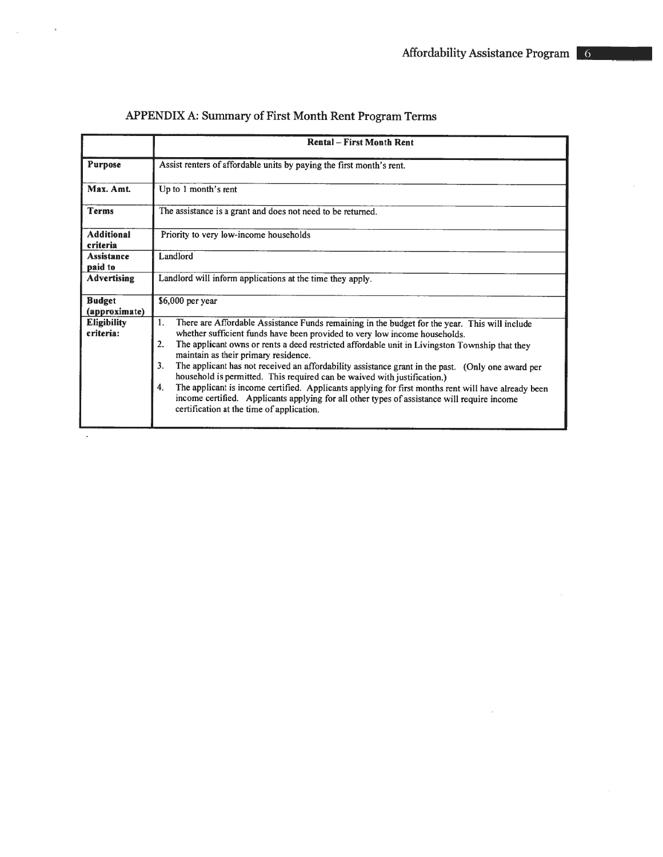|                                 | <b>Rental - First Month Rent</b>                                                                                                                                                                                                                                                                                                                                                                                                                                                                                                                                                                                                                                                                                                                                                  |  |  |  |  |
|---------------------------------|-----------------------------------------------------------------------------------------------------------------------------------------------------------------------------------------------------------------------------------------------------------------------------------------------------------------------------------------------------------------------------------------------------------------------------------------------------------------------------------------------------------------------------------------------------------------------------------------------------------------------------------------------------------------------------------------------------------------------------------------------------------------------------------|--|--|--|--|
|                                 |                                                                                                                                                                                                                                                                                                                                                                                                                                                                                                                                                                                                                                                                                                                                                                                   |  |  |  |  |
| <b>Purpose</b>                  | Assist renters of affordable units by paying the first month's rent.                                                                                                                                                                                                                                                                                                                                                                                                                                                                                                                                                                                                                                                                                                              |  |  |  |  |
| Max. Amt.                       | Up to 1 month's rent                                                                                                                                                                                                                                                                                                                                                                                                                                                                                                                                                                                                                                                                                                                                                              |  |  |  |  |
| <b>Terms</b>                    | The assistance is a grant and does not need to be returned.                                                                                                                                                                                                                                                                                                                                                                                                                                                                                                                                                                                                                                                                                                                       |  |  |  |  |
| <b>Additional</b><br>criteria   | Priority to very low-income households                                                                                                                                                                                                                                                                                                                                                                                                                                                                                                                                                                                                                                                                                                                                            |  |  |  |  |
| Assistance<br>paid to           | Landlord                                                                                                                                                                                                                                                                                                                                                                                                                                                                                                                                                                                                                                                                                                                                                                          |  |  |  |  |
| <b>Advertising</b>              | Landlord will inform applications at the time they apply.                                                                                                                                                                                                                                                                                                                                                                                                                                                                                                                                                                                                                                                                                                                         |  |  |  |  |
| <b>Budget</b><br>(approximate)  | \$6,000 per year                                                                                                                                                                                                                                                                                                                                                                                                                                                                                                                                                                                                                                                                                                                                                                  |  |  |  |  |
| <b>Eligibility</b><br>criteria: | There are Affordable Assistance Funds remaining in the budget for the year. This will include<br>1.<br>whether sufficient funds have been provided to very low income households.<br>2.<br>The applicant owns or rents a deed restricted affordable unit in Livingston Township that they<br>maintain as their primary residence.<br>3.<br>The applicant has not received an affordability assistance grant in the past. (Only one award per<br>household is permitted. This required can be waived with justification.)<br>The applicant is income certified. Applicants applying for first months rent will have already been<br>4.<br>income certified. Applicants applying for all other types of assistance will require income<br>certification at the time of application. |  |  |  |  |

#### APPENDIX A: Summary of First Month Rent Program Terms

 $\tilde{\mathcal{A}}$ 

 $\mathcal{A}$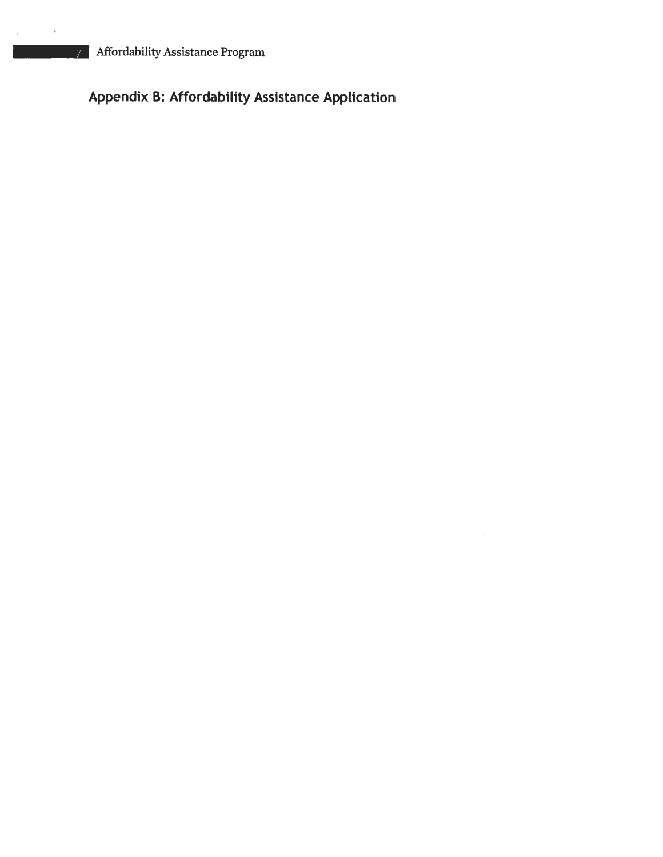#### Appendix B: Affordability Assistance Application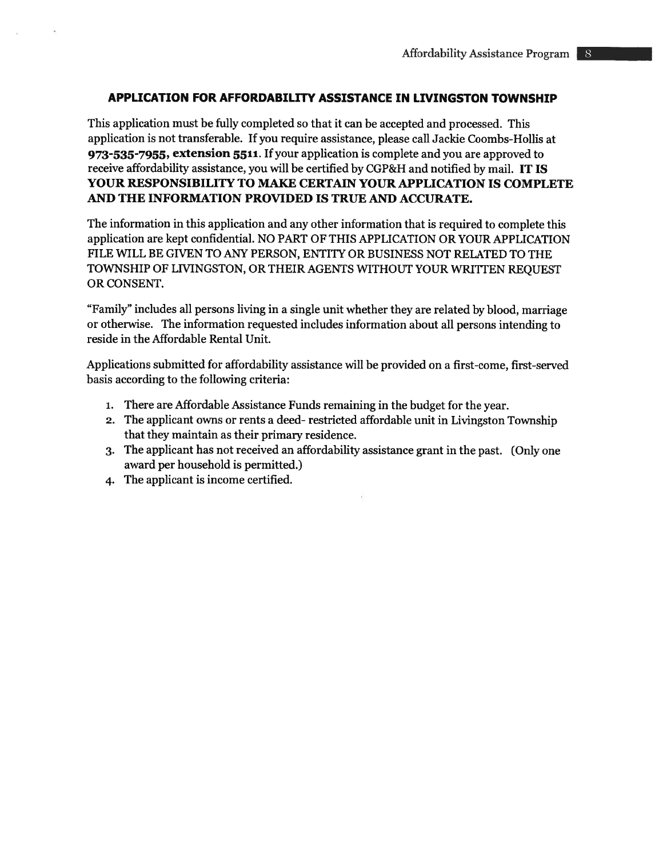#### APPLICATION FOR AFFORDABILITY ASSISTANCE IN LIVINGSTON TOWNSHIP

This application must be fully completed so that it can be accepted and processed. This application is not transferable. If you require assistance, please call Jackie Coombs-Hollis at 973-535-7955, extension 5511. If your application is complete and you are approved to receive affordability assistance, you will be certified by CGP&H and notified by mail. IT IS YOUR RESPONSIBILITY TO MAKE CERTAIN YOUR APPLICATION IS COMPLETE AND THE INFORMATION PROVIDED IS TRUE AND ACCURATE.

The information in this application and any other information that is required to complete this application are kept confidential. NO PART OF THIS APPLICATION OR YOUR APPLICATION FILE WILL BE GIVEN TO ANY PERSON, ENTITY OR BUSINESS NOT RELATED TO THE TOWNSHIP OF LIVINGSTON, OR THEIR AGENTS WITHOUT YOUR WRITTEN REQUEST OR CONSENT.

"Family" includes all persons living in <sup>a</sup> single unit whether they are related by blood, marriage or otherwise. The information requested includes information about all persons intending to reside in the Affordable Rental Unit.

Applications submitted for affordability assistance will be provided on <sup>a</sup> first-come, first-served basis according to the following criteria:

- 1. There are Affordable Assistance Funds remaining in the budget for the year.
- 2. The applicant owns or rents <sup>a</sup> deed- restricted affordable unit in Livingston Township that they maintain as their primary residence.
- 3. The applicant has not received an affordability assistance gran<sup>t</sup> in the past. (Only one award per household is permitted.)
- 4. The applicant is income certified.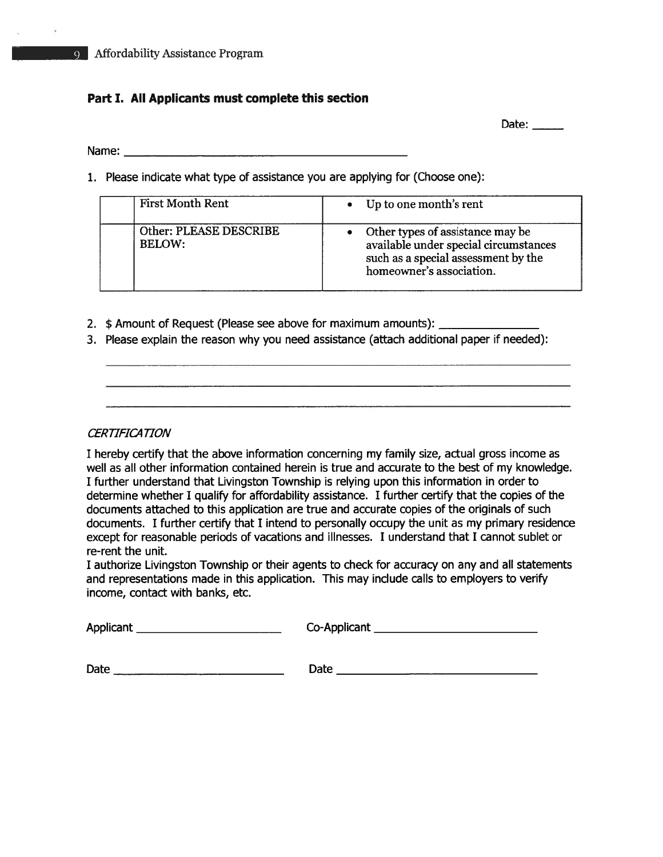# Part I. All Applicants must complete this section Affordability Assistance Program<br>Part I. All Applicants must complete this section<br>Name:

Date: \_\_\_\_\_

1. Please indicate what type of assistance you are applying for (Choose one):

| <b>First Month Rent</b>                 | • Up to one month's rent                                                                                                                       |
|-----------------------------------------|------------------------------------------------------------------------------------------------------------------------------------------------|
| Other: PLEASE DESCRIBE<br><b>BELOW:</b> | • Other types of assistance may be<br>available under special circumstances<br>such as a special assessment by the<br>homeowner's association. |

- 2. \$ Amount of Request (Please see above for maximum amounts):
- 3. Please explain the reason why you need assistance (attach additional paper if needed):

#### **CERTIFICATION**

I hereby certify that the above information concerning my family size, actual gross income as well as all other information contained herein is true and accurate to the best of my knowledge. I further understand that Livingston Township is relying upon this information in order to determine whether I qualify for affordability assistance. I further certify that the copies of the documents attached to this application are true and accurate copies of the originals of such documents. I further certify that I intend to personally occupy the unit as my primary residence excep<sup>t</sup> for reasonable periods of vacations and illnesses. I understand that I cannot sublet or re-rent the unit.

I authorize Livingston Township or their agents to check for accuracy on any and all statements and representations made in this application. This may include calls to employers to verify income, contact with banks, etc.

Applicant

Co-Applicant

Date Date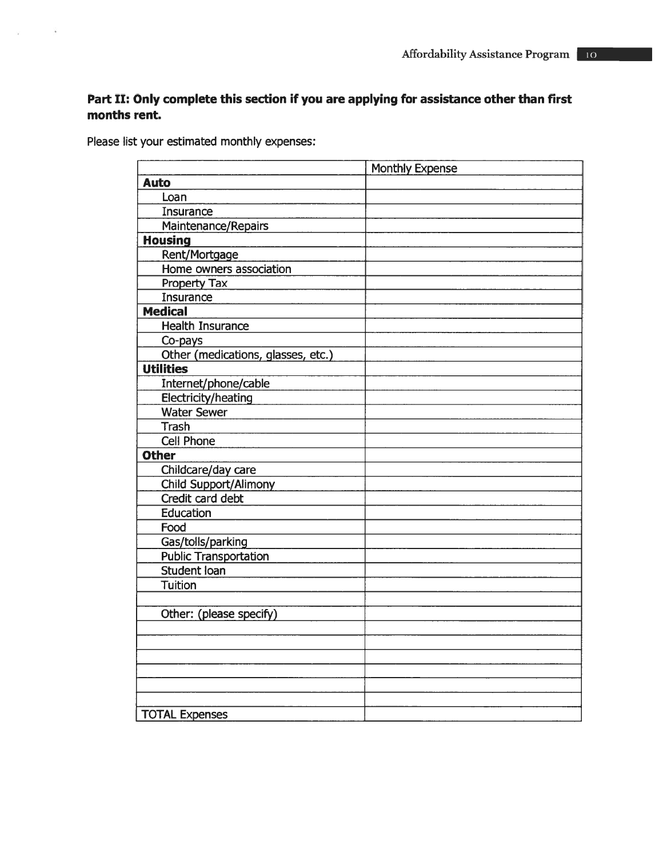#### Part II: Only complete this section if you are applying for assistance other than first months rent.

Please list your estimated monthly expenses:

 $\tilde{\mathcal{L}}$ 

 $\boldsymbol{\widetilde{\omega}}$ 

|                                    | Affordability Assistance Program                                               |
|------------------------------------|--------------------------------------------------------------------------------|
|                                    |                                                                                |
|                                    |                                                                                |
|                                    | Only complete this section if you are applying for assistance other than first |
| rent.                              |                                                                                |
| t your estimated monthly expenses: |                                                                                |
|                                    |                                                                                |
|                                    | Monthly Expense                                                                |
| <b>Auto</b>                        |                                                                                |
| Loan                               |                                                                                |
| Insurance                          |                                                                                |
| Maintenance/Repairs                |                                                                                |
| <b>Housing</b>                     |                                                                                |
| Rent/Mortgage                      |                                                                                |
| Home owners association            |                                                                                |
| Property Tax                       |                                                                                |
| Insurance                          |                                                                                |
| <b>Medical</b>                     |                                                                                |
| <b>Health Insurance</b>            |                                                                                |
| Co-pays                            |                                                                                |
| Other (medications, glasses, etc.) |                                                                                |
| <b>Utilities</b>                   |                                                                                |
| Internet/phone/cable               |                                                                                |
| Electricity/heating                |                                                                                |
| <b>Water Sewer</b>                 |                                                                                |
| <b>Trash</b>                       |                                                                                |
| <b>Cell Phone</b>                  |                                                                                |
| <b>Other</b>                       |                                                                                |
| Childcare/day care                 |                                                                                |
| <b>Child Support/Alimony</b>       |                                                                                |
| Credit card debt                   |                                                                                |
| Education                          |                                                                                |
| Food                               |                                                                                |
| Gas/tolls/parking                  |                                                                                |
| <b>Public Transportation</b>       |                                                                                |
| Student loan                       |                                                                                |
| <b>Tuition</b>                     |                                                                                |
| Other: (please specify)            |                                                                                |
|                                    |                                                                                |
|                                    |                                                                                |
|                                    |                                                                                |
|                                    |                                                                                |
|                                    |                                                                                |
|                                    |                                                                                |
| <b>TOTAL Expenses</b>              |                                                                                |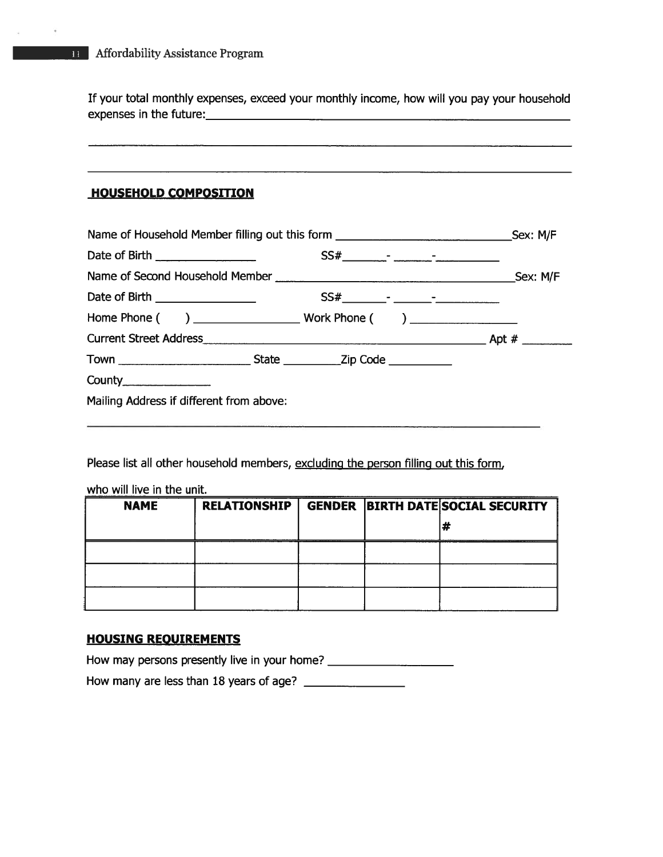#### HOUSEHOLD COMPOSITION

| Affordability Assistance Program |                                                                                             |  |
|----------------------------------|---------------------------------------------------------------------------------------------|--|
|                                  | If your total monthly expenses, exceed your monthly income, how will you pay your household |  |
|                                  |                                                                                             |  |
| <b>HOUSEHOLD COMPOSITION</b>     |                                                                                             |  |
|                                  |                                                                                             |  |
|                                  | Name of Household Member filling out this form __________________________________Sex: M/F   |  |
|                                  |                                                                                             |  |
|                                  |                                                                                             |  |
| Date of Birth ________________   |                                                                                             |  |
|                                  |                                                                                             |  |
|                                  |                                                                                             |  |
|                                  |                                                                                             |  |
|                                  |                                                                                             |  |

Please list all other household members, excluding the person filling out this form,

| who will live in the unit. |                     |  |  |                                          |  |
|----------------------------|---------------------|--|--|------------------------------------------|--|
| <b>NAME</b>                | <b>RELATIONSHIP</b> |  |  | <b>GENDER BIRTH DATE SOCIAL SECURITY</b> |  |
|                            |                     |  |  |                                          |  |
|                            |                     |  |  |                                          |  |
|                            |                     |  |  |                                          |  |
|                            |                     |  |  |                                          |  |

#### HOUSING REQUIREMENTS

How may persons presently live in your home? \_\_\_\_\_\_\_\_\_\_\_\_\_\_\_\_\_\_\_\_\_\_\_\_\_\_\_\_\_\_\_\_\_\_\_

How many are less than 18 years of age?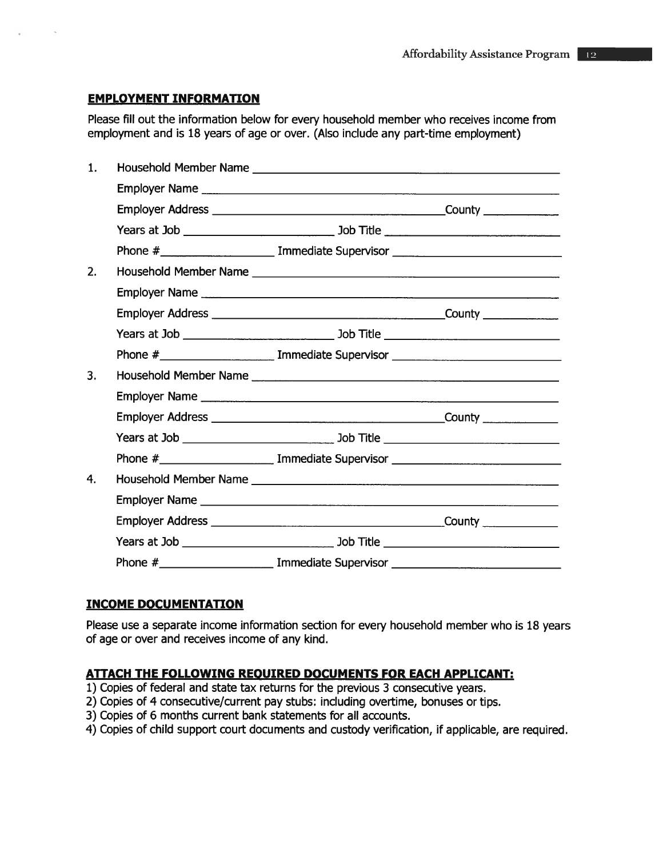#### EMPLOYMENT INFORMATION

|                |                                                                                    | <b>Affordability Assistance Prograp</b>                                                   |
|----------------|------------------------------------------------------------------------------------|-------------------------------------------------------------------------------------------|
|                | <b>EMPLOYMENT INFORMATION</b>                                                      |                                                                                           |
|                | employment and is 18 years of age or over. (Also include any part-time employment) | Please fill out the information below for every household member who receives income from |
| $\mathbf{1}$ . |                                                                                    |                                                                                           |
|                |                                                                                    |                                                                                           |
|                |                                                                                    |                                                                                           |
|                |                                                                                    |                                                                                           |
|                |                                                                                    |                                                                                           |
| 2.             |                                                                                    |                                                                                           |
|                |                                                                                    |                                                                                           |
|                |                                                                                    |                                                                                           |
|                |                                                                                    |                                                                                           |
|                |                                                                                    |                                                                                           |
| 3.             |                                                                                    |                                                                                           |
|                |                                                                                    |                                                                                           |
|                |                                                                                    |                                                                                           |
|                |                                                                                    |                                                                                           |
|                |                                                                                    |                                                                                           |
| 4.             |                                                                                    |                                                                                           |
|                |                                                                                    |                                                                                           |
|                |                                                                                    | $\begin{array}{c} \text{Country} \end{array}$                                             |
|                |                                                                                    |                                                                                           |
|                |                                                                                    | Phone #_________________________ Immediate Supervisor __________________________          |

#### INCOME DOCUMENTATION

Please use <sup>a</sup> separate income information section for every household member who is 18 years of age or over and receives income of any kind.

#### ATIACH THE FOLLOWING REQUIRED DOCUMENTS FOR EACH APPLICANT:

- 1) Copies of federal and state tax returns for the previous 3 consecutive years.
- 2) Copies of 4 consecutive/current pay stubs: including overtime, bonuses or tips.
- 3) Copies of 6 months current bank statements for all accounts.
- 4) Copies of child suppor<sup>t</sup> court documents and custody verification, if applicable, are required.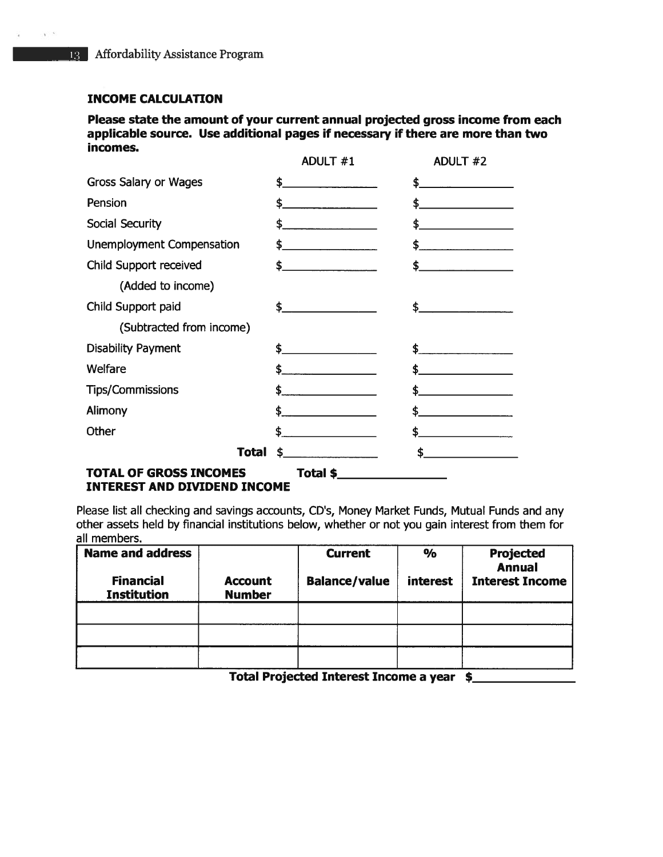#### INCOME CALCULATION

 $\mathbf{v} \in \mathbb{R}$ 

Please state the amount of your current annual projected gross income from each applicable source. Use additional pages if necessary if there are more than two incomes.

|                                  | ADULT #1                                                                                                                                                                                                                             | ADULT #2                                                                                                                                                                                                                                                                                                            |
|----------------------------------|--------------------------------------------------------------------------------------------------------------------------------------------------------------------------------------------------------------------------------------|---------------------------------------------------------------------------------------------------------------------------------------------------------------------------------------------------------------------------------------------------------------------------------------------------------------------|
| Gross Salary or Wages            | \$.<br><u> 1980 - Jan Barnett, primar popularno de la provincia de la provincia de la provincia de la provincia de la p</u>                                                                                                          | $\frac{1}{2}$                                                                                                                                                                                                                                                                                                       |
| Pension                          | \$.<br><u> 1980 - Amerikaans III (</u>                                                                                                                                                                                               | \$_<br>and the company of the company of                                                                                                                                                                                                                                                                            |
| <b>Social Security</b>           | $\sim$                                                                                                                                                                                                                               |                                                                                                                                                                                                                                                                                                                     |
| <b>Unemployment Compensation</b> | \$_                                                                                                                                                                                                                                  | $\frac{1}{2}$                                                                                                                                                                                                                                                                                                       |
| Child Support received           | $\frac{1}{2}$                                                                                                                                                                                                                        | \$                                                                                                                                                                                                                                                                                                                  |
| (Added to income)                |                                                                                                                                                                                                                                      |                                                                                                                                                                                                                                                                                                                     |
| Child Support paid               | $\frac{1}{2}$                                                                                                                                                                                                                        | \$.                                                                                                                                                                                                                                                                                                                 |
| (Subtracted from income)         |                                                                                                                                                                                                                                      |                                                                                                                                                                                                                                                                                                                     |
| <b>Disability Payment</b>        | $\frac{1}{2}$                                                                                                                                                                                                                        | \$.                                                                                                                                                                                                                                                                                                                 |
| Welfare                          | \$.                                                                                                                                                                                                                                  | \$                                                                                                                                                                                                                                                                                                                  |
| <b>Tips/Commissions</b>          |                                                                                                                                                                                                                                      | $\frac{1}{2}$ $\frac{1}{2}$ $\frac{1}{2}$ $\frac{1}{2}$ $\frac{1}{2}$ $\frac{1}{2}$ $\frac{1}{2}$ $\frac{1}{2}$ $\frac{1}{2}$ $\frac{1}{2}$ $\frac{1}{2}$ $\frac{1}{2}$ $\frac{1}{2}$ $\frac{1}{2}$ $\frac{1}{2}$ $\frac{1}{2}$ $\frac{1}{2}$ $\frac{1}{2}$ $\frac{1}{2}$ $\frac{1}{2}$ $\frac{1}{2}$ $\frac{1}{2}$ |
| Alimony                          | \$.<br><u> Liste de la construcción de la construcción de la construcción de la construcción de la construcción de la c</u>                                                                                                          | \$.<br><u> 1980 - Jan Samuel Barnett, politik eta politik eta politik eta politik eta politik eta politik eta politik e</u>                                                                                                                                                                                         |
| Other                            | $\frac{1}{2}$                                                                                                                                                                                                                        |                                                                                                                                                                                                                                                                                                                     |
| Total                            | $\frac{1}{2}$                                                                                                                                                                                                                        | $\frac{1}{2}$                                                                                                                                                                                                                                                                                                       |
| TOTAL OF GROSS INCOMES           | <b>Total \$</b> Provide the contract of the contract of the contract of the contract of the contract of the contract of the contract of the contract of the contract of the contract of the contract of the contract of the contract |                                                                                                                                                                                                                                                                                                                     |

#### INTEREST AND DIVIDEND INCOME

Please list all checking and savings accounts, CD's, Money Market Funds, Mutual Funds and any other assets held by financial institutions below, whether or not you gain interest from them for all members.

| <b>Name and address</b><br><b>Financial</b><br><b>Institution</b> | <b>Account</b><br><b>Number</b> | <b>Current</b><br><b>Balance/value</b> | $\frac{6}{6}$<br>interest | Projected<br><b>Annual</b><br><b>Interest Income</b> |
|-------------------------------------------------------------------|---------------------------------|----------------------------------------|---------------------------|------------------------------------------------------|
|                                                                   |                                 |                                        |                           |                                                      |
|                                                                   |                                 |                                        |                           |                                                      |
|                                                                   |                                 |                                        |                           |                                                      |

Total Projected Interest Income <sup>a</sup> year \$